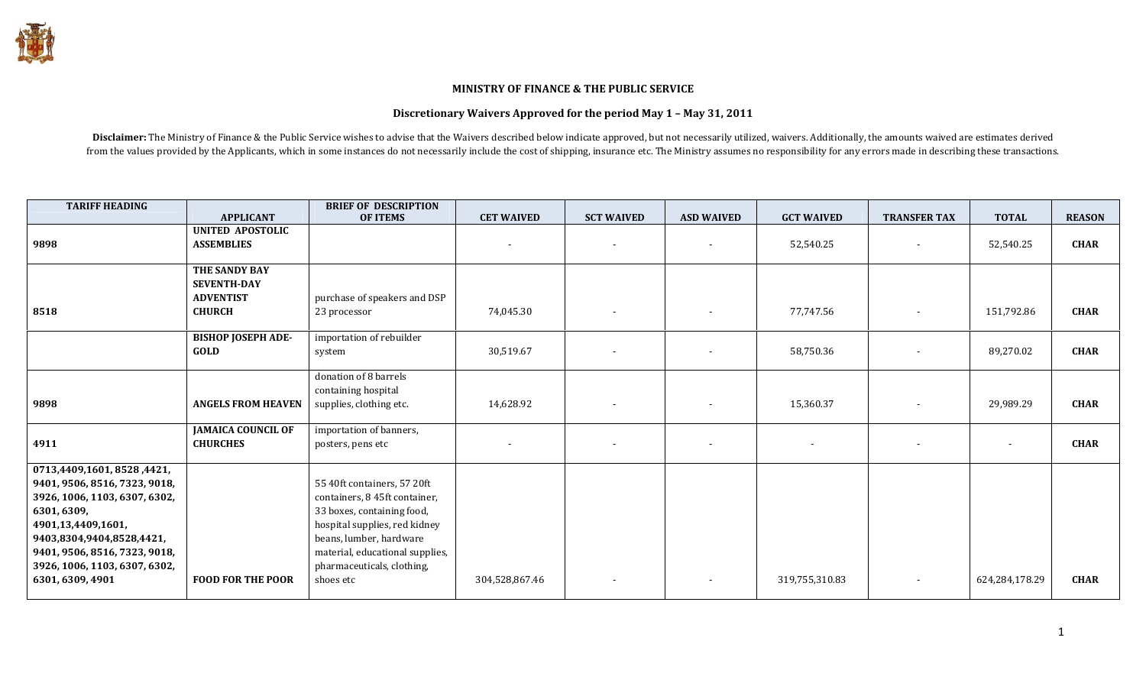## MINISTRY OF FINANCE & THE PUBLIC SERVICE

## Discretionary Waivers Approved for the period May 1 – May 31, 2011

Disclaimer: The Ministry of Finance & the Public Service wishes to advise that the Waivers described below indicate approved, but not necessarily utilized, waivers. Additionally, the amounts waived are estimates derived from the values provided by the Applicants, which in some instances do not necessarily include the cost of shipping, insurance etc. The Ministry assumes no responsibility for any errors made in describing these transactions.

| <b>TARIFF HEADING</b>                                                                                                                                                                                                                               |                                                                           | <b>BRIEF OF DESCRIPTION</b>                                                                                                                                                                                                          |                                       |                          |                                                      |                                       |                          |                     |                            |
|-----------------------------------------------------------------------------------------------------------------------------------------------------------------------------------------------------------------------------------------------------|---------------------------------------------------------------------------|--------------------------------------------------------------------------------------------------------------------------------------------------------------------------------------------------------------------------------------|---------------------------------------|--------------------------|------------------------------------------------------|---------------------------------------|--------------------------|---------------------|----------------------------|
|                                                                                                                                                                                                                                                     | <b>APPLICANT</b>                                                          | <b>OF ITEMS</b>                                                                                                                                                                                                                      | <b>CET WAIVED</b>                     | <b>SCT WAIVED</b>        | <b>ASD WAIVED</b>                                    | <b>GCT WAIVED</b>                     | <b>TRANSFER TAX</b>      | <b>TOTAL</b>        | <b>REASON</b>              |
| 9898                                                                                                                                                                                                                                                | <b>UNITED APOSTOLIC</b><br><b>ASSEMBLIES</b>                              |                                                                                                                                                                                                                                      |                                       |                          |                                                      | 52,540.25                             |                          | 52,540.25           | <b>CHAR</b>                |
| 8518                                                                                                                                                                                                                                                | THE SANDY BAY<br><b>SEVENTH-DAY</b><br><b>ADVENTIST</b><br><b>CHURCH</b>  | purchase of speakers and DSP<br>23 processor                                                                                                                                                                                         | 74,045.30                             |                          | $\overline{\phantom{a}}$                             | 77,747.56                             | $\overline{\phantom{a}}$ | 151,792.86          | <b>CHAR</b>                |
|                                                                                                                                                                                                                                                     | <b>BISHOP JOSEPH ADE-</b><br><b>GOLD</b>                                  | importation of rebuilder<br>system                                                                                                                                                                                                   | 30,519.67                             |                          | $\overline{\phantom{a}}$                             | 58,750.36                             | $\overline{\phantom{a}}$ | 89,270.02           | <b>CHAR</b>                |
| 9898<br>4911                                                                                                                                                                                                                                        | <b>ANGELS FROM HEAVEN</b><br><b>JAMAICA COUNCIL OF</b><br><b>CHURCHES</b> | donation of 8 barrels<br>containing hospital<br>supplies, clothing etc.<br>importation of banners,<br>posters, pens etc                                                                                                              | 14,628.92<br>$\overline{\phantom{a}}$ | $\overline{\phantom{a}}$ | $\overline{\phantom{a}}$<br>$\overline{\phantom{a}}$ | 15,360.37<br>$\overline{\phantom{a}}$ | $\overline{\phantom{a}}$ | 29,989.29<br>$\sim$ | <b>CHAR</b><br><b>CHAR</b> |
|                                                                                                                                                                                                                                                     |                                                                           |                                                                                                                                                                                                                                      |                                       |                          |                                                      |                                       |                          |                     |                            |
| 0713,4409,1601,8528,4421,<br>9401, 9506, 8516, 7323, 9018,<br>3926, 1006, 1103, 6307, 6302,<br>6301, 6309,<br>4901,13,4409,1601,<br>9403,8304,9404,8528,4421,<br>9401, 9506, 8516, 7323, 9018,<br>3926, 1006, 1103, 6307, 6302,<br>6301, 6309, 4901 | <b>FOOD FOR THE POOR</b>                                                  | 55 40ft containers, 57 20ft<br>containers, 8 45ft container,<br>33 boxes, containing food,<br>hospital supplies, red kidney<br>beans, lumber, hardware<br>material, educational supplies,<br>pharmaceuticals, clothing,<br>shoes etc | 304,528,867.46                        | $\overline{\phantom{a}}$ |                                                      | 319,755,310.83                        |                          | 624,284,178.29      | <b>CHAR</b>                |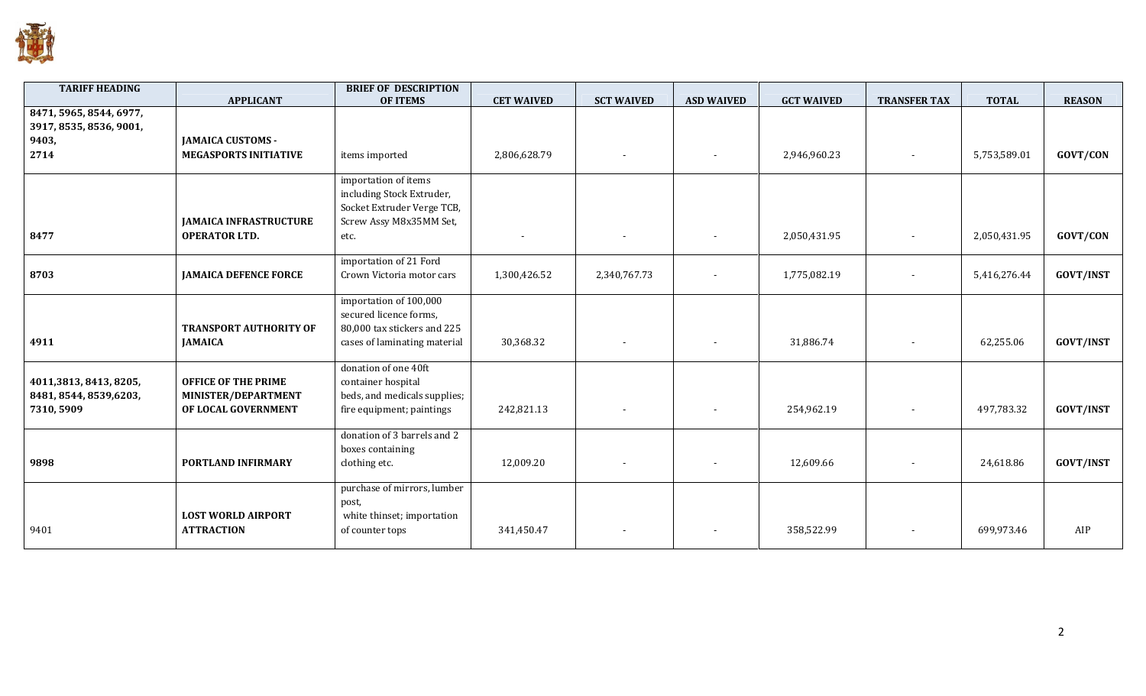

| <b>TARIFF HEADING</b>   |                               | <b>BRIEF OF DESCRIPTION</b>  |                   |                          |                   |                   |                     |              |                  |
|-------------------------|-------------------------------|------------------------------|-------------------|--------------------------|-------------------|-------------------|---------------------|--------------|------------------|
|                         | <b>APPLICANT</b>              | <b>OF ITEMS</b>              | <b>CET WAIVED</b> | <b>SCT WAIVED</b>        | <b>ASD WAIVED</b> | <b>GCT WAIVED</b> | <b>TRANSFER TAX</b> | <b>TOTAL</b> | <b>REASON</b>    |
| 8471, 5965, 8544, 6977, |                               |                              |                   |                          |                   |                   |                     |              |                  |
| 3917, 8535, 8536, 9001, |                               |                              |                   |                          |                   |                   |                     |              |                  |
| 9403,                   | <b>JAMAICA CUSTOMS -</b>      |                              |                   |                          |                   |                   |                     |              |                  |
| 2714                    | <b>MEGASPORTS INITIATIVE</b>  | items imported               | 2,806,628.79      |                          |                   | 2,946,960.23      |                     | 5,753,589.01 | <b>GOVT/CON</b>  |
|                         |                               | importation of items         |                   |                          |                   |                   |                     |              |                  |
|                         |                               | including Stock Extruder,    |                   |                          |                   |                   |                     |              |                  |
|                         |                               | Socket Extruder Verge TCB,   |                   |                          |                   |                   |                     |              |                  |
|                         | <b>JAMAICA INFRASTRUCTURE</b> | Screw Assy M8x35MM Set,      |                   |                          |                   |                   |                     |              |                  |
|                         |                               |                              |                   |                          |                   |                   |                     |              |                  |
| 8477                    | <b>OPERATOR LTD.</b>          | etc.                         |                   | $\overline{\phantom{a}}$ |                   | 2,050,431.95      |                     | 2,050,431.95 | GOVT/CON         |
|                         |                               | importation of 21 Ford       |                   |                          |                   |                   |                     |              |                  |
| 8703                    | <b>JAMAICA DEFENCE FORCE</b>  | Crown Victoria motor cars    | 1,300,426.52      | 2,340,767.73             |                   | 1,775,082.19      |                     | 5,416,276.44 | <b>GOVT/INST</b> |
|                         |                               |                              |                   |                          |                   |                   |                     |              |                  |
|                         |                               | importation of 100,000       |                   |                          |                   |                   |                     |              |                  |
|                         |                               | secured licence forms,       |                   |                          |                   |                   |                     |              |                  |
|                         | <b>TRANSPORT AUTHORITY OF</b> | 80,000 tax stickers and 225  |                   |                          |                   |                   |                     |              |                  |
| 4911                    | <b>JAMAICA</b>                | cases of laminating material | 30,368.32         | $\overline{\phantom{a}}$ |                   | 31,886.74         |                     | 62,255.06    | <b>GOVT/INST</b> |
|                         |                               |                              |                   |                          |                   |                   |                     |              |                  |
|                         |                               | donation of one 40ft         |                   |                          |                   |                   |                     |              |                  |
| 4011,3813, 8413, 8205,  | <b>OFFICE OF THE PRIME</b>    | container hospital           |                   |                          |                   |                   |                     |              |                  |
| 8481, 8544, 8539, 6203, | MINISTER/DEPARTMENT           | beds, and medicals supplies; |                   |                          |                   |                   |                     |              |                  |
| 7310, 5909              | OF LOCAL GOVERNMENT           | fire equipment; paintings    | 242,821.13        | $\overline{\phantom{a}}$ |                   | 254,962.19        |                     | 497,783.32   | <b>GOVT/INST</b> |
|                         |                               |                              |                   |                          |                   |                   |                     |              |                  |
|                         |                               | donation of 3 barrels and 2  |                   |                          |                   |                   |                     |              |                  |
|                         |                               | boxes containing             |                   |                          |                   |                   |                     |              |                  |
| 9898                    | PORTLAND INFIRMARY            | clothing etc.                | 12,009.20         | $\overline{\phantom{a}}$ |                   | 12,609.66         |                     | 24,618.86    | <b>GOVT/INST</b> |
|                         |                               |                              |                   |                          |                   |                   |                     |              |                  |
|                         |                               | purchase of mirrors, lumber  |                   |                          |                   |                   |                     |              |                  |
|                         |                               | post,                        |                   |                          |                   |                   |                     |              |                  |
|                         | <b>LOST WORLD AIRPORT</b>     | white thinset; importation   |                   |                          |                   |                   |                     |              |                  |
| 9401                    | <b>ATTRACTION</b>             | of counter tops              | 341,450.47        |                          |                   | 358,522.99        |                     | 699,973.46   | AIP              |
|                         |                               |                              |                   |                          |                   |                   |                     |              |                  |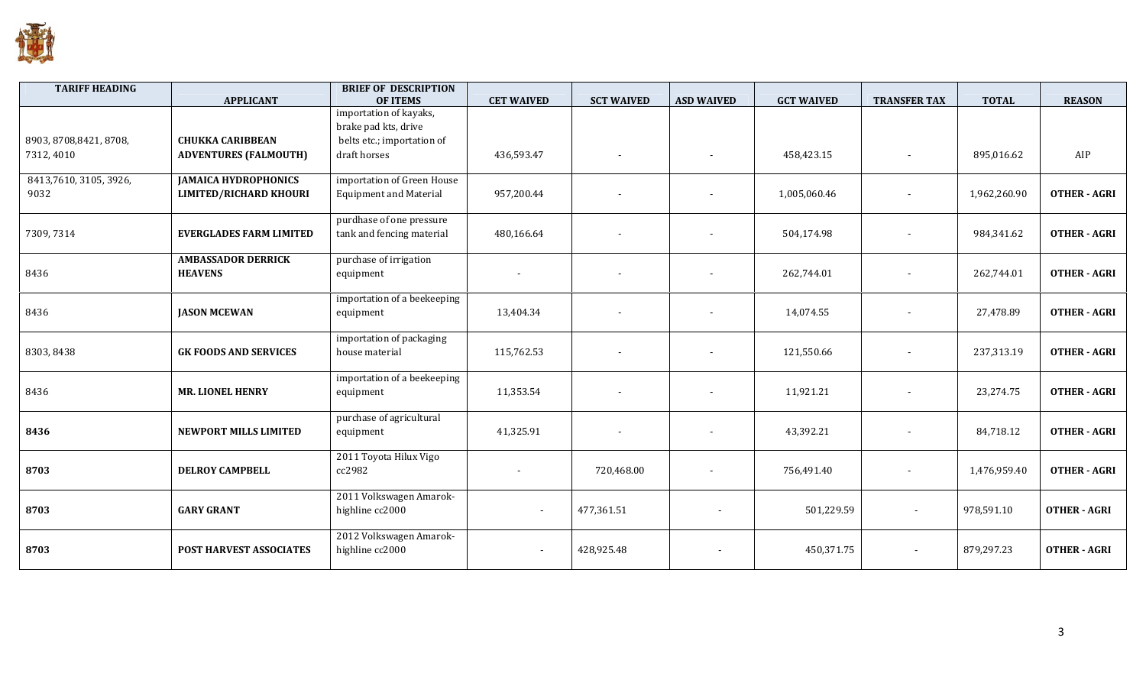

| <b>TARIFF HEADING</b>   | <b>APPLICANT</b>                            | <b>BRIEF OF DESCRIPTION</b><br><b>OF ITEMS</b>        | <b>CET WAIVED</b>        | <b>SCT WAIVED</b>        | <b>ASD WAIVED</b>        | <b>GCT WAIVED</b> | <b>TRANSFER TAX</b>      | <b>TOTAL</b> | <b>REASON</b>       |
|-------------------------|---------------------------------------------|-------------------------------------------------------|--------------------------|--------------------------|--------------------------|-------------------|--------------------------|--------------|---------------------|
|                         |                                             | importation of kayaks,<br>brake pad kts, drive        |                          |                          |                          |                   |                          |              |                     |
| 8903, 8708, 8421, 8708, | <b>CHUKKA CARIBBEAN</b>                     | belts etc.; importation of                            |                          |                          |                          |                   |                          |              |                     |
| 7312, 4010              | <b>ADVENTURES (FALMOUTH)</b>                | draft horses                                          | 436,593.47               | $\sim$                   |                          | 458,423.15        |                          | 895,016.62   | AIP                 |
| 8413,7610, 3105, 3926,  | <b>JAMAICA HYDROPHONICS</b>                 | importation of Green House                            |                          |                          |                          |                   |                          |              |                     |
| 9032                    | <b>LIMITED/RICHARD KHOURI</b>               | <b>Equipment and Material</b>                         | 957,200.44               | $\sim$                   |                          | 1,005,060.46      |                          | 1,962,260.90 | <b>OTHER - AGRI</b> |
| 7309, 7314              | <b>EVERGLADES FARM LIMITED</b>              | purdhase of one pressure<br>tank and fencing material | 480,166.64               |                          |                          | 504,174.98        |                          | 984,341.62   | <b>OTHER - AGRI</b> |
|                         |                                             |                                                       |                          |                          |                          |                   |                          |              |                     |
| 8436                    | <b>AMBASSADOR DERRICK</b><br><b>HEAVENS</b> | purchase of irrigation<br>equipment                   |                          |                          |                          | 262,744.01        |                          | 262,744.01   | <b>OTHER - AGRI</b> |
| 8436                    | <b>JASON MCEWAN</b>                         | importation of a beekeeping<br>equipment              | 13,404.34                | $\overline{\phantom{a}}$ |                          | 14,074.55         |                          | 27,478.89    | <b>OTHER - AGRI</b> |
| 8303, 8438              | <b>GK FOODS AND SERVICES</b>                | importation of packaging<br>house material            | 115,762.53               |                          |                          | 121,550.66        |                          | 237,313.19   | <b>OTHER - AGRI</b> |
| 8436                    | <b>MR. LIONEL HENRY</b>                     | importation of a beekeeping<br>equipment              | 11,353.54                | $\sim$                   |                          | 11,921.21         |                          | 23,274.75    | <b>OTHER - AGRI</b> |
| 8436                    | <b>NEWPORT MILLS LIMITED</b>                | purchase of agricultural<br>equipment                 | 41,325.91                | $\overline{\phantom{a}}$ | $\overline{\phantom{a}}$ | 43,392.21         |                          | 84,718.12    | <b>OTHER - AGRI</b> |
| 8703                    | <b>DELROY CAMPBELL</b>                      | 2011 Toyota Hilux Vigo<br>cc2982                      |                          | 720,468.00               | $\overline{\phantom{a}}$ | 756,491.40        |                          | 1,476,959.40 | <b>OTHER - AGRI</b> |
| 8703                    | <b>GARY GRANT</b>                           | 2011 Volkswagen Amarok-<br>highline cc2000            | $\overline{\phantom{a}}$ | 477,361.51               |                          | 501,229.59        | $\overline{\phantom{a}}$ | 978,591.10   | <b>OTHER - AGRI</b> |
| 8703                    | POST HARVEST ASSOCIATES                     | 2012 Volkswagen Amarok-<br>highline cc2000            |                          | 428,925.48               |                          | 450,371.75        |                          | 879,297.23   | <b>OTHER - AGRI</b> |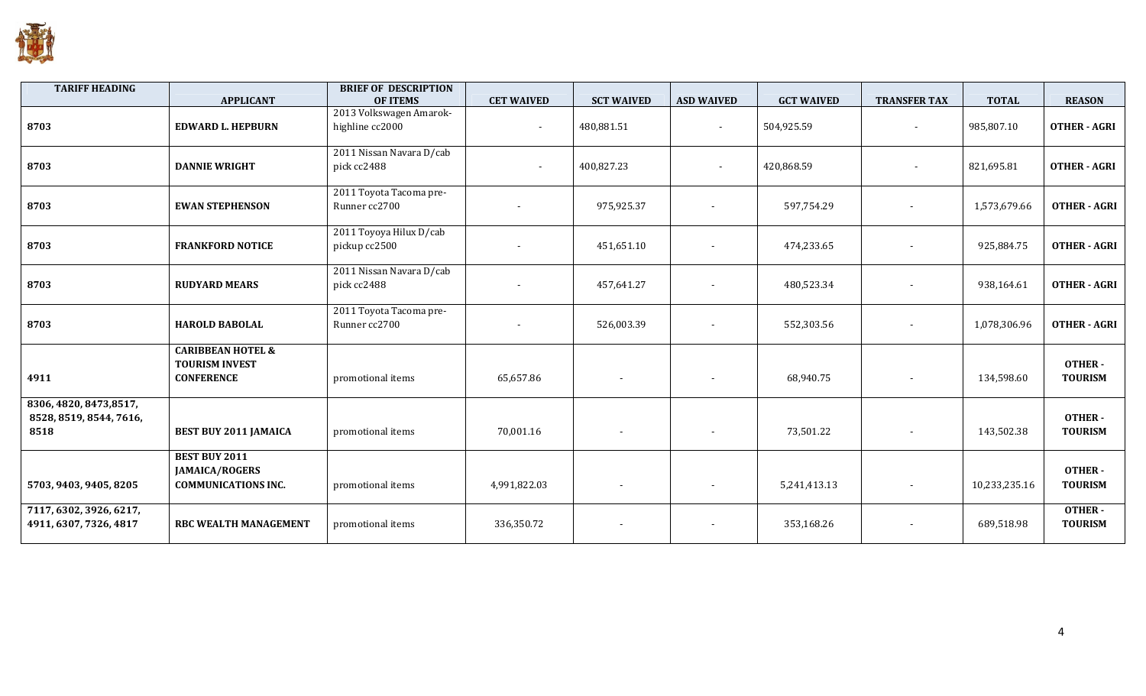

| <b>TARIFF HEADING</b>                                      | <b>APPLICANT</b>                                                            | <b>BRIEF OF DESCRIPTION</b><br><b>OF ITEMS</b> | <b>CET WAIVED</b> | <b>SCT WAIVED</b>        | <b>ASD WAIVED</b>        | <b>GCT WAIVED</b> | <b>TRANSFER TAX</b>      | <b>TOTAL</b>  | <b>REASON</b>                   |
|------------------------------------------------------------|-----------------------------------------------------------------------------|------------------------------------------------|-------------------|--------------------------|--------------------------|-------------------|--------------------------|---------------|---------------------------------|
| 8703                                                       | <b>EDWARD L. HEPBURN</b>                                                    | 2013 Volkswagen Amarok-<br>highline cc2000     | $\blacksquare$    | 480,881.51               | $\blacksquare$           | 504,925.59        | $\overline{\phantom{a}}$ | 985,807.10    | <b>OTHER - AGRI</b>             |
| 8703                                                       | <b>DANNIE WRIGHT</b>                                                        | 2011 Nissan Navara D/cab<br>pick cc2488        | $\blacksquare$    | 400,827.23               | $\sim$                   | 420,868.59        | $\blacksquare$           | 821,695.81    | <b>OTHER - AGRI</b>             |
| 8703                                                       | <b>EWAN STEPHENSON</b>                                                      | 2011 Toyota Tacoma pre-<br>Runner cc2700       |                   | 975,925.37               | $\overline{\phantom{a}}$ | 597,754.29        | $\overline{\phantom{a}}$ | 1,573,679.66  | <b>OTHER - AGRI</b>             |
| 8703                                                       | <b>FRANKFORD NOTICE</b>                                                     | 2011 Toyoya Hilux D/cab<br>pickup cc2500       |                   | 451,651.10               | $\overline{\phantom{a}}$ | 474,233.65        | $\sim$                   | 925,884.75    | <b>OTHER - AGRI</b>             |
| 8703                                                       | <b>RUDYARD MEARS</b>                                                        | 2011 Nissan Navara D/cab<br>pick cc2488        |                   | 457,641.27               |                          | 480,523.34        |                          | 938,164.61    | <b>OTHER - AGRI</b>             |
| 8703                                                       | <b>HAROLD BABOLAL</b>                                                       | 2011 Toyota Tacoma pre-<br>Runner cc2700       |                   | 526,003.39               | $\overline{\phantom{a}}$ | 552,303.56        | $\overline{\phantom{a}}$ | 1,078,306.96  | <b>OTHER - AGRI</b>             |
| 4911                                                       | <b>CARIBBEAN HOTEL &amp;</b><br><b>TOURISM INVEST</b><br><b>CONFERENCE</b>  | promotional items                              | 65,657.86         | $\overline{\phantom{a}}$ | $\overline{\phantom{a}}$ | 68,940.75         | $\overline{\phantom{a}}$ | 134,598.60    | <b>OTHER-</b><br><b>TOURISM</b> |
| 8306, 4820, 8473, 8517,<br>8528, 8519, 8544, 7616,<br>8518 | <b>BEST BUY 2011 JAMAICA</b>                                                | promotional items                              | 70,001.16         |                          |                          | 73,501.22         |                          | 143,502.38    | <b>OTHER-</b><br><b>TOURISM</b> |
| 5703, 9403, 9405, 8205                                     | <b>BEST BUY 2011</b><br><b>JAMAICA/ROGERS</b><br><b>COMMUNICATIONS INC.</b> | promotional items                              | 4,991,822.03      | $\overline{\phantom{a}}$ |                          | 5,241,413.13      | $\overline{\phantom{a}}$ | 10,233,235.16 | <b>OTHER-</b><br><b>TOURISM</b> |
| 7117, 6302, 3926, 6217,<br>4911, 6307, 7326, 4817          | <b>RBC WEALTH MANAGEMENT</b>                                                | promotional items                              | 336,350.72        |                          |                          | 353,168.26        | $\overline{\phantom{a}}$ | 689,518.98    | OTHER-<br><b>TOURISM</b>        |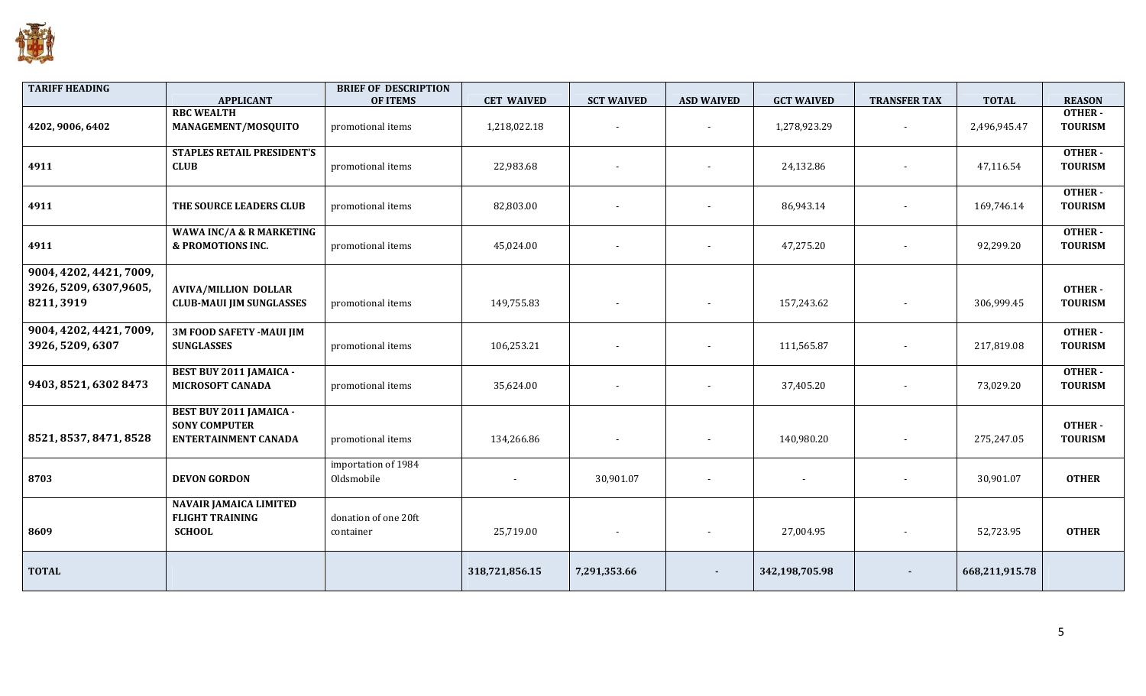

| <b>TARIFF HEADING</b>                                            | <b>APPLICANT</b>                                                                      | <b>BRIEF OF DESCRIPTION</b><br><b>OF ITEMS</b> | <b>CET WAIVED</b> | <b>SCT WAIVED</b>        | <b>ASD WAIVED</b> | <b>GCT WAIVED</b> | <b>TRANSFER TAX</b> | <b>TOTAL</b>   | <b>REASON</b>                   |
|------------------------------------------------------------------|---------------------------------------------------------------------------------------|------------------------------------------------|-------------------|--------------------------|-------------------|-------------------|---------------------|----------------|---------------------------------|
| 4202, 9006, 6402                                                 | <b>RBC WEALTH</b><br>MANAGEMENT/MOSQUITO                                              | promotional items                              | 1,218,022.18      | $\overline{\phantom{a}}$ |                   | 1,278,923.29      |                     | 2,496,945.47   | OTHER-<br><b>TOURISM</b>        |
| 4911                                                             | <b>STAPLES RETAIL PRESIDENT'S</b><br><b>CLUB</b>                                      | promotional items                              | 22,983.68         |                          |                   | 24,132.86         |                     | 47,116.54      | OTHER-<br><b>TOURISM</b>        |
| 4911                                                             | THE SOURCE LEADERS CLUB                                                               | promotional items                              | 82,803.00         |                          |                   | 86,943.14         |                     | 169,746.14     | OTHER-<br><b>TOURISM</b>        |
| 4911                                                             | WAWA INC/A & R MARKETING<br>& PROMOTIONS INC.                                         | promotional items                              | 45,024.00         | $\overline{\phantom{a}}$ |                   | 47,275.20         |                     | 92,299.20      | OTHER-<br><b>TOURISM</b>        |
| 9004, 4202, 4421, 7009,<br>3926, 5209, 6307, 9605,<br>8211, 3919 | <b>AVIVA/MILLION DOLLAR</b><br><b>CLUB-MAUI JIM SUNGLASSES</b>                        | promotional items                              | 149,755.83        | $\blacksquare$           | $\blacksquare$    | 157,243.62        |                     | 306,999.45     | <b>OTHER-</b><br><b>TOURISM</b> |
| 9004, 4202, 4421, 7009,<br>3926, 5209, 6307                      | <b>3M FOOD SAFETY -MAUI JIM</b><br><b>SUNGLASSES</b>                                  | promotional items                              | 106,253.21        |                          |                   | 111,565.87        |                     | 217,819.08     | <b>OTHER-</b><br><b>TOURISM</b> |
| 9403, 8521, 6302 8473                                            | <b>BEST BUY 2011 JAMAICA -</b><br><b>MICROSOFT CANADA</b>                             | promotional items                              | 35,624.00         |                          |                   | 37,405.20         |                     | 73,029.20      | <b>OTHER-</b><br><b>TOURISM</b> |
| 8521, 8537, 8471, 8528                                           | <b>BEST BUY 2011 JAMAICA -</b><br><b>SONY COMPUTER</b><br><b>ENTERTAINMENT CANADA</b> | promotional items                              | 134,266.86        | $\blacksquare$           |                   | 140,980.20        |                     | 275,247.05     | <b>OTHER-</b><br><b>TOURISM</b> |
| 8703                                                             | <b>DEVON GORDON</b>                                                                   | importation of 1984<br>Oldsmobile              |                   | 30,901.07                |                   |                   |                     | 30,901.07      | <b>OTHER</b>                    |
| 8609                                                             | <b>NAVAIR JAMAICA LIMITED</b><br><b>FLIGHT TRAINING</b><br><b>SCHOOL</b>              | donation of one 20ft<br>container              | 25,719.00         | $\overline{\phantom{a}}$ |                   | 27,004.95         |                     | 52,723.95      | <b>OTHER</b>                    |
| <b>TOTAL</b>                                                     |                                                                                       |                                                | 318,721,856.15    | 7,291,353.66             |                   | 342,198,705.98    |                     | 668,211,915.78 |                                 |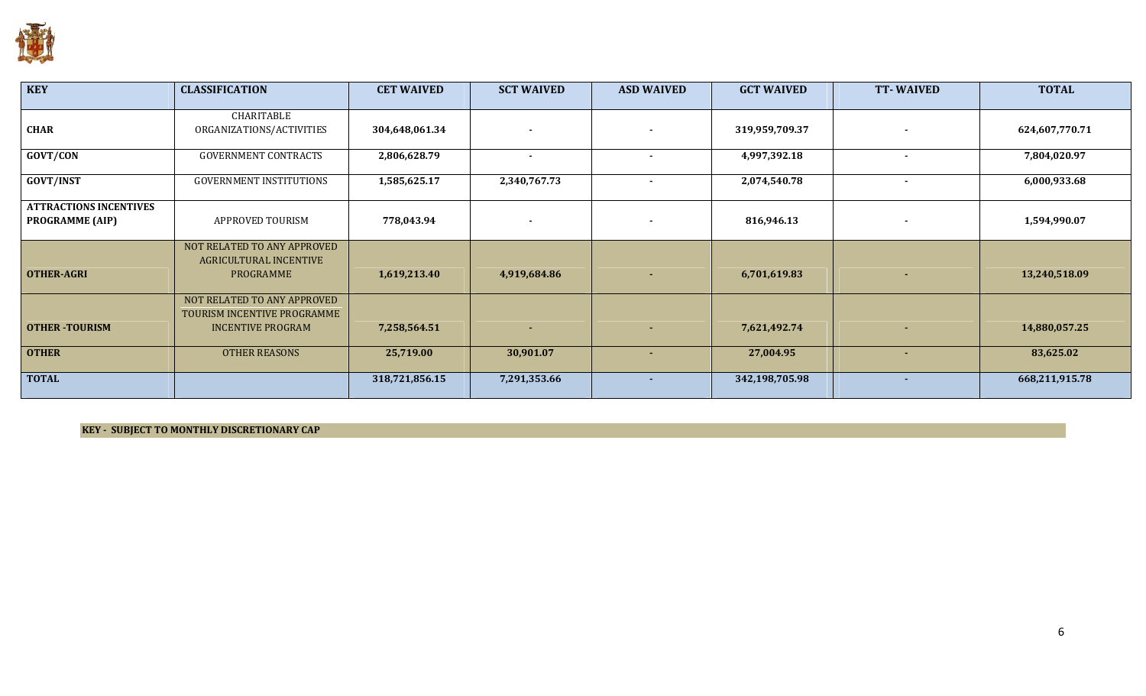

| <b>KEY</b>                                              | <b>CLASSIFICATION</b>                                                     | <b>CET WAIVED</b> | <b>SCT WAIVED</b> | <b>ASD WAIVED</b> | <b>GCT WAIVED</b> | <b>TT-WAIVED</b> | <b>TOTAL</b>   |
|---------------------------------------------------------|---------------------------------------------------------------------------|-------------------|-------------------|-------------------|-------------------|------------------|----------------|
| <b>CHAR</b>                                             | CHARITABLE<br>ORGANIZATIONS/ACTIVITIES                                    | 304,648,061.34    |                   |                   | 319,959,709.37    | $\sim$           | 624,607,770.71 |
| GOVT/CON                                                | <b>GOVERNMENT CONTRACTS</b>                                               | 2,806,628.79      | $\sim$            | $\blacksquare$    | 4,997,392.18      | $\blacksquare$   | 7,804,020.97   |
| <b>GOVT/INST</b>                                        | <b>GOVERNMENT INSTITUTIONS</b>                                            | 1,585,625.17      | 2,340,767.73      | $\sim$            | 2,074,540.78      | $\sim$           | 6,000,933.68   |
| <b>ATTRACTIONS INCENTIVES</b><br><b>PROGRAMME (AIP)</b> | APPROVED TOURISM                                                          | 778,043.94        |                   |                   | 816,946.13        | $\sim$           | 1,594,990.07   |
| <b>OTHER-AGRI</b>                                       | NOT RELATED TO ANY APPROVED<br>AGRICULTURAL INCENTIVE<br><b>PROGRAMME</b> | 1,619,213.40      | 4,919,684.86      | ٠                 | 6,701,619.83      | $\sim$           | 13,240,518.09  |
|                                                         | NOT RELATED TO ANY APPROVED<br>TOURISM INCENTIVE PROGRAMME                |                   |                   |                   |                   |                  |                |
| <b>OTHER-TOURISM</b>                                    | <b>INCENTIVE PROGRAM</b>                                                  | 7,258,564.51      |                   | ٠                 | 7,621,492.74      | $\sim$           | 14,880,057.25  |
| <b>OTHER</b>                                            | <b>OTHER REASONS</b>                                                      | 25,719.00         | 30,901.07         | $\sim$            | 27,004.95         | ٠.               | 83,625.02      |
| <b>TOTAL</b>                                            |                                                                           | 318,721,856.15    | 7,291,353.66      | ۰.                | 342,198,705.98    | ۰.               | 668,211,915.78 |

KEY - SUBJECT TO MONTHLY DISCRETIONARY CAP